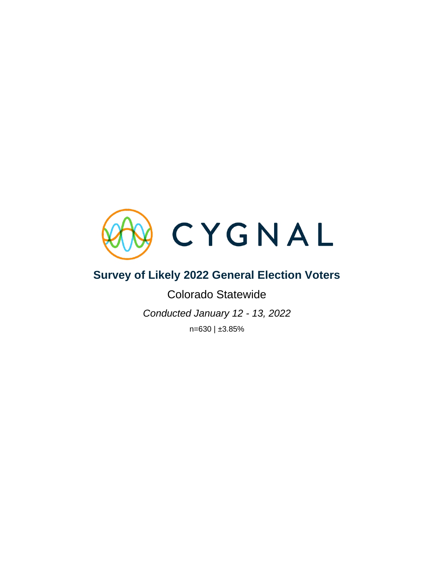

# **Survey of Likely 2022 General Election Voters**

Colorado Statewide *Conducted January 12 - 13, 2022* n=630 | ±3.85%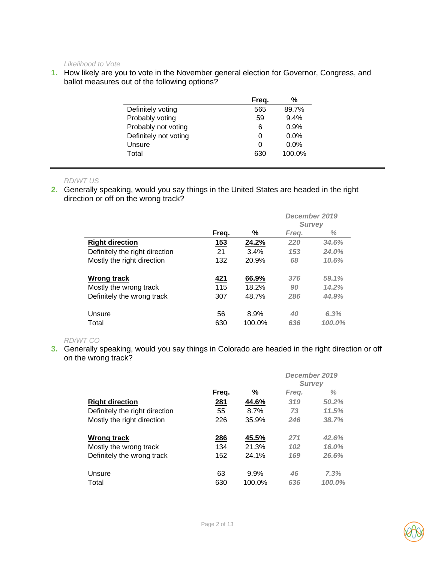*Likelihood to Vote* 

**1.** How likely are you to vote in the November general election for Governor, Congress, and ballot measures out of the following options?

|                       | Freq. | %       |
|-----------------------|-------|---------|
| Definitely voting     | 565   | 89.7%   |
| Probably voting       | 59    | 9.4%    |
| Probably not voting   | 6     | 0.9%    |
| Definitely not voting | O     | $0.0\%$ |
| Unsure                |       | $0.0\%$ |
| Total                 | 630   | 100.0%  |

### *RD/WT US*

**2.** Generally speaking, would you say things in the United States are headed in the right direction or off on the wrong track?

|                                |            |        | December 2019<br><b>Survey</b> |        |  |
|--------------------------------|------------|--------|--------------------------------|--------|--|
|                                | Freg.      | ℅      | Frea.                          | ℅      |  |
| <b>Right direction</b>         | <u>153</u> | 24.2%  | 220                            | 34.6%  |  |
| Definitely the right direction | 21         | 3.4%   | 153                            | 24.0%  |  |
| Mostly the right direction     | 132        | 20.9%  | 68                             | 10.6%  |  |
| Wrong track                    | 421        | 66.9%  | 376                            | 59.1%  |  |
| Mostly the wrong track         | 115        | 18.2%  | 90                             | 14.2%  |  |
| Definitely the wrong track     | 307        | 48.7%  | 286                            | 44.9%  |  |
| Unsure                         | 56         | 8.9%   | 40                             | 6.3%   |  |
| Total                          | 630        | 100.0% | 636                            | 100.0% |  |

### *RD/WT CO*

**3.** Generally speaking, would you say things in Colorado are headed in the right direction or off on the wrong track?

|                                |            |        | December 2019<br><b>Survey</b> |        |  |
|--------------------------------|------------|--------|--------------------------------|--------|--|
|                                | Freg.      | ℅      | Freq.                          | ℅      |  |
| <b>Right direction</b>         | <u>281</u> | 44.6%  | 319                            | 50.2%  |  |
| Definitely the right direction | 55         | 8.7%   | 73                             | 11.5%  |  |
| Mostly the right direction     | 226        | 35.9%  | 246                            | 38.7%  |  |
| Wrong track                    | 286        | 45.5%  | 271                            | 42.6%  |  |
| Mostly the wrong track         | 134        | 21.3%  | 102                            | 16.0%  |  |
| Definitely the wrong track     | 152        | 24.1%  | 169                            | 26.6%  |  |
| Unsure                         | 63         | 9.9%   | 46                             | 7.3%   |  |
| Total                          | 630        | 100.0% | 636                            | 100.0% |  |

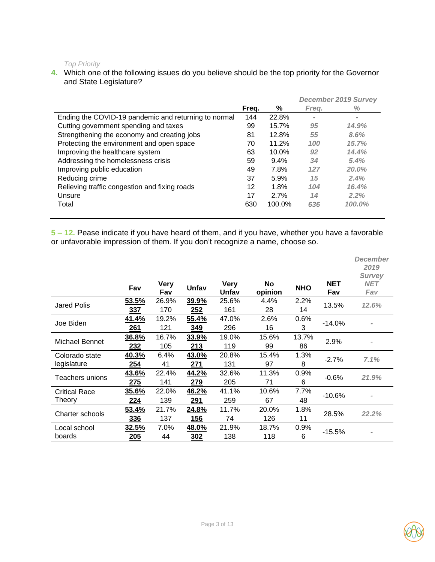#### *Top Priority*

**4.** Which one of the following issues do you believe should be the top priority for the Governor and State Legislature?

|                                                      |       |         |          | <b>December 2019 Survey</b> |
|------------------------------------------------------|-------|---------|----------|-----------------------------|
|                                                      | Freg. | ℅       | Freg.    | ℅                           |
| Ending the COVID-19 pandemic and returning to normal | 144   | 22.8%   | $\equiv$ | $\qquad \qquad =\qquad$     |
| Cutting government spending and taxes                | 99    | 15.7%   | 95       | 14.9%                       |
| Strengthening the economy and creating jobs          | 81    | 12.8%   | 55       | 8.6%                        |
| Protecting the environment and open space            | 70    | 11.2%   | 100      | 15.7%                       |
| Improving the healthcare system                      | 63    | 10.0%   | 92       | 14.4%                       |
| Addressing the homelessness crisis                   | 59    | $9.4\%$ | 34       | 5.4%                        |
| Improving public education                           | 49    | 7.8%    | 127      | 20.0%                       |
| Reducing crime                                       | 37    | 5.9%    | 15       | 2.4%                        |
| Relieving traffic congestion and fixing roads        | 12    | 1.8%    | 104      | 16.4%                       |
| Unsure                                               | 17    | 2.7%    | 14       | 2.2%                        |
| Total                                                | 630   | 100.0%  | 636      | 100.0%                      |
|                                                      |       |         |          |                             |

**5 – 12.** Pease indicate if you have heard of them, and if you have, whether you have a favorable or unfavorable impression of them. If you don't recognize a name, choose so.

|                      | Fav         | <b>Very</b><br>Fav | Unfav | <b>Very</b><br>Unfav | <b>No</b><br>opinion | <b>NHO</b> | NET<br>Fav | December<br>2019<br><b>Survey</b><br><b>NET</b><br>Fav |
|----------------------|-------------|--------------------|-------|----------------------|----------------------|------------|------------|--------------------------------------------------------|
| <b>Jared Polis</b>   | 53.5%       | 26.9%              | 39.9% | 25.6%                | 4.4%                 | 2.2%       | 13.5%      | 12.6%                                                  |
|                      | 337         | 170                | 252   | 161                  | 28                   | 14         |            |                                                        |
| Joe Biden            | 41.4%       | 19.2%              | 55.4% | 47.0%                | 2.6%                 | 0.6%       | $-14.0%$   |                                                        |
|                      | 261         | 121                | 349   | 296                  | 16                   | 3          |            |                                                        |
| Michael Bennet       | 36.8%       | 16.7%              | 33.9% | 19.0%                | 15.6%                | 13.7%      |            |                                                        |
|                      | 232         | 105                | 213   | 119                  | 99                   | 86         | 2.9%       |                                                        |
| Colorado state       | 40.3%       | 6.4%               | 43.0% | 20.8%                | 15.4%                | 1.3%       | $-2.7%$    | 7.1%                                                   |
| legislature          | 254         | 41                 | 271   | 131                  | 97                   | 8          |            |                                                        |
|                      | 43.6%       | 22.4%              | 44.2% | 32.6%                | 11.3%                | 0.9%       |            |                                                        |
| Teachers unions      | <u> 275</u> | 141                | 279   | 205                  | 71                   | 6          | $-0.6%$    | 21.9%                                                  |
| <b>Critical Race</b> | 35.6%       | 22.0%              | 46.2% | 41.1%                | 10.6%                | 7.7%       | $-10.6%$   |                                                        |
| Theory               | 224         | 139                | 291   | 259                  | 67                   | 48         |            | $\equiv$                                               |
| Charter schools      | 53.4%       | 21.7%              | 24.8% | 11.7%                | 20.0%                | 1.8%       |            |                                                        |
|                      | 336         | 137                | 156   | 74                   | 126                  | 11         | 28.5%      | 22.2%                                                  |
| Local school         | 32.5%       | 7.0%               | 48.0% | 21.9%                | 18.7%                | 0.9%       |            |                                                        |
| boards               | 205         | 44                 | 302   | 138                  | 118                  | 6          | $-15.5%$   |                                                        |

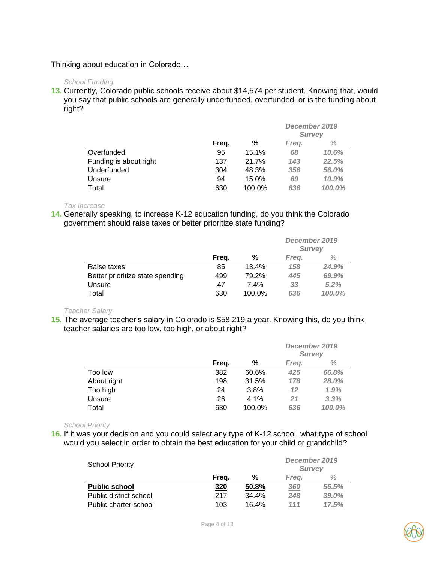### Thinking about education in Colorado…

#### *School Funding*

**13.** Currently, Colorado public schools receive about \$14,574 per student. Knowing that, would you say that public schools are generally underfunded, overfunded, or is the funding about right?

|                        |       |        | December 2019<br><b>Survey</b> |        |  |
|------------------------|-------|--------|--------------------------------|--------|--|
|                        | Freq. | %      | Freg.                          | ℅      |  |
| Overfunded             | 95    | 15.1%  | 68                             | 10.6%  |  |
| Funding is about right | 137   | 21.7%  | 143                            | 22.5%  |  |
| Underfunded            | 304   | 48.3%  | 356                            | 56.0%  |  |
| Unsure                 | 94    | 15.0%  | 69                             | 10.9%  |  |
| Total                  | 630   | 100.0% | 636                            | 100.0% |  |

*Tax Increase*

**14.** Generally speaking, to increase K-12 education funding, do you think the Colorado government should raise taxes or better prioritize state funding?

|                                  |       |        | December 2019<br><b>Survey</b> |        |
|----------------------------------|-------|--------|--------------------------------|--------|
|                                  | Freq. | %      | Frea.                          | ℅      |
| Raise taxes                      | 85    | 13.4%  | 158                            | 24.9%  |
| Better prioritize state spending | 499   | 79.2%  | 445                            | 69.9%  |
| Unsure                           | 47    | 7.4%   | 33                             | 5.2%   |
| Total                            | 630   | 100.0% | 636                            | 100.0% |

*Teacher Salary* 

**15.** The average teacher's salary in Colorado is \$58,219 a year. Knowing this, do you think teacher salaries are too low, too high, or about right?

|             |       |        | December 2019<br><b>Survey</b> |        |
|-------------|-------|--------|--------------------------------|--------|
|             | Freq. | %      | Freg.                          | ℅      |
| Too low     | 382   | 60.6%  | 425                            | 66.8%  |
| About right | 198   | 31.5%  | 178                            | 28.0%  |
| Too high    | 24    | 3.8%   | 12                             | 1.9%   |
| Unsure      | 26    | 4.1%   | 21                             | 3.3%   |
| Total       | 630   | 100.0% | 636                            | 100.0% |

*School Priority* 

**16.** If it was your decision and you could select any type of K-12 school, what type of school would you select in order to obtain the best education for your child or grandchild?

| <b>School Priority</b> |       | December 2019<br><b>Survey</b> |            |       |
|------------------------|-------|--------------------------------|------------|-------|
|                        | Freq. | %                              | Frea.      | ℅     |
| <b>Public school</b>   | 320   | 50.8%                          | <u>360</u> | 56.5% |
| Public district school | 217   | 34.4%                          | 248        | 39.0% |
| Public charter school  | 103   | 16.4%                          | 111        | 17.5% |

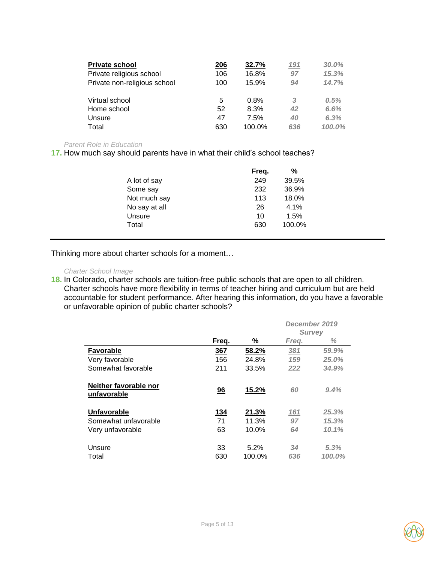| <b>Private school</b>        | 206 | 32.7%  | 191 | 30.0%  |
|------------------------------|-----|--------|-----|--------|
| Private religious school     | 106 | 16.8%  | 97  | 15.3%  |
| Private non-religious school | 100 | 15.9%  | 94  | 14.7%  |
| Virtual school               | 5   | 0.8%   | 3   | 0.5%   |
| Home school                  | 52  | 8.3%   | 42  | 6.6%   |
| Unsure                       | 47  | 7.5%   | 40  | 6.3%   |
| Total                        | 630 | 100.0% | 636 | 100.0% |

#### *Parent Role in Education*

**17.** How much say should parents have in what their child's school teaches?

|               | Freq. | %      |
|---------------|-------|--------|
| A lot of say  | 249   | 39.5%  |
| Some say      | 232   | 36.9%  |
| Not much say  | 113   | 18.0%  |
| No say at all | 26    | 4.1%   |
| Unsure        | 10    | 1.5%   |
| Total         | 630   | 100.0% |

Thinking more about charter schools for a moment…

#### *Charter School Image*

**18.** In Colorado, charter schools are tuition-free public schools that are open to all children. Charter schools have more flexibility in terms of teacher hiring and curriculum but are held accountable for student performance. After hearing this information, do you have a favorable or unfavorable opinion of public charter schools?

|                                      |             |        | December 2019<br><b>Survey</b> |        |
|--------------------------------------|-------------|--------|--------------------------------|--------|
|                                      | Freq.       | ℅      | Freg.                          | ℅      |
| <b>Favorable</b>                     | 367         | 58.2%  | 381                            | 59.9%  |
| Very favorable                       | 156         | 24.8%  | 159                            | 25.0%  |
| Somewhat favorable                   | 211         | 33.5%  | 222                            | 34.9%  |
| Neither favorable nor<br>unfavorable | 96          | 15.2%  | 60                             | 9.4%   |
| <b>Unfavorable</b>                   | <u> 134</u> | 21.3%  | <u>161</u>                     | 25.3%  |
| Somewhat unfavorable                 | 71          | 11.3%  | 97                             | 15.3%  |
| Very unfavorable                     | 63          | 10.0%  | 64                             | 10.1%  |
| Unsure                               | 33          | 5.2%   | 34                             | 5.3%   |
| Total                                | 630         | 100.0% | 636                            | 100.0% |

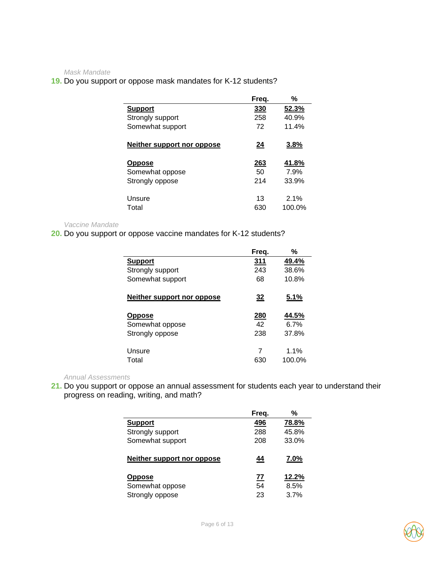*Mask Mandate* 

### **19.** Do you support or oppose mask mandates for K-12 students?

|                            | Freq.       | %     |
|----------------------------|-------------|-------|
| <b>Support</b>             | 330         | 52.3% |
| Strongly support           | 258         | 40.9% |
| Somewhat support           | 72          | 11.4% |
|                            |             |       |
| Neither support nor oppose | <u>24</u>   | 3.8%  |
|                            |             |       |
| <b>Oppose</b>              | <u> 263</u> | 41.8% |
|                            |             | 7.9%  |
| Somewhat oppose            | 50          |       |
| Strongly oppose            | 214         | 33.9% |
|                            |             |       |
| Unsure                     | 13          | 2.1%  |

#### *Vaccine Mandate*

**20.** Do you support or oppose vaccine mandates for K-12 students?

|                                   | Freg.      | %           |
|-----------------------------------|------------|-------------|
| <b>Support</b>                    | 311        | 49.4%       |
| Strongly support                  | 243        | 38.6%       |
| Somewhat support                  | 68         | 10.8%       |
| <u>Neither support nor oppose</u> | <u>32</u>  | <u>5.1%</u> |
| <b>Oppose</b>                     | <u>280</u> | 44.5%       |
| Somewhat oppose                   | 42         | 6.7%        |
| Strongly oppose                   | 238        | 37.8%       |
| Unsure                            | 7          | 1.1%        |
| Total                             | 630        | 100.0%      |

*Annual Assessments* 

**21.** Do you support or oppose an annual assessment for students each year to understand their progress on reading, writing, and math?

|                            | Freq.     | %     |
|----------------------------|-----------|-------|
| <b>Support</b>             | 496       | 78.8% |
| Strongly support           | 288       | 45.8% |
| Somewhat support           | 208       | 33.0% |
| Neither support nor oppose | 44        | 7.0%  |
| <b>Oppose</b>              | <u>77</u> | 12.2% |
| Somewhat oppose            | 54        | 8.5%  |
| Strongly oppose            | 23        | 3.7%  |

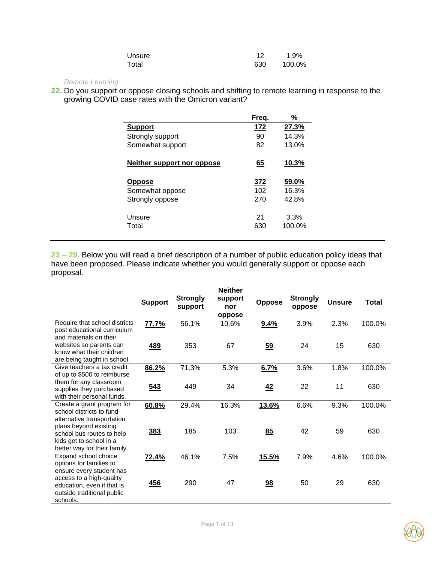| Unsure |     | 1.9%   |
|--------|-----|--------|
| Total  | 630 | 100.0% |

### *Remote Learning*

**22.** Do you support or oppose closing schools and shifting to remote learning in response to the growing COVID case rates with the Omicron variant?

|                            | Freq.     | %      |
|----------------------------|-----------|--------|
| <b>Support</b>             | 172       | 27.3%  |
| Strongly support           | 90        | 14.3%  |
| Somewhat support           | 82        | 13.0%  |
|                            |           |        |
| Neither support nor oppose | <u>65</u> | 10.3%  |
| <b>Oppose</b>              | 372       | 59.0%  |
| Somewhat oppose            | 102       | 16.3%  |
| Strongly oppose            | 270       | 42.8%  |
|                            |           |        |
| Unsure                     | 21        | 3.3%   |
| Total                      | 630       | 100.0% |
|                            |           |        |

**23 – 29.** Below you will read a brief description of a number of public education policy ideas that have been proposed. Please indicate whether you would generally support or oppose each proposal.

|                                                                                                               | <b>Support</b> | <b>Strongly</b><br>support | <b>Neither</b><br>support<br>nor<br>oppose | <b>Oppose</b>  | <b>Strongly</b><br>oppose | <b>Unsure</b> | <b>Total</b> |
|---------------------------------------------------------------------------------------------------------------|----------------|----------------------------|--------------------------------------------|----------------|---------------------------|---------------|--------------|
| Require that school districts<br>post educational curriculum<br>and materials on their                        | 77.7%          | 56.1%                      | 10.6%                                      | 9.4%           | 3.9%                      | 2.3%          | 100.0%       |
| websites so parents can<br>know what their children<br>are being taught in school.                            | 489            | 353                        | 67                                         | $\frac{59}{2}$ | 24                        | 15            | 630          |
| Give teachers a tax credit<br>of up to \$500 to reimburse                                                     | 86.2%          | 71.3%                      | 5.3%                                       | 6.7%           | 3.6%                      | 1.8%          | 100.0%       |
| them for any classroom<br>supplies they purchased<br>with their personal funds.                               | 543            | 449                        | 34                                         | 42             | 22                        | 11            | 630          |
| Create a grant program for<br>school districts to fund<br>alternative transportation                          | 60.8%          | 29.4%                      | 16.3%                                      | 13.6%          | 6.6%                      | 9.3%          | 100.0%       |
| plans beyond existing<br>school bus routes to help<br>kids get to school in a<br>better way for their family. | 383            | 185                        | 103                                        | 85             | 42                        | 59            | 630          |
| Expand school choice<br>options for families to<br>ensure every student has                                   | 72.4%          | 46.1%                      | 7.5%                                       | 15.5%          | 7.9%                      | 4.6%          | 100.0%       |
| access to a high-quality<br>education, even if that is<br>outside traditional public<br>schools.              | 456            | 290                        | 47                                         | 98             | 50                        | 29            | 630          |

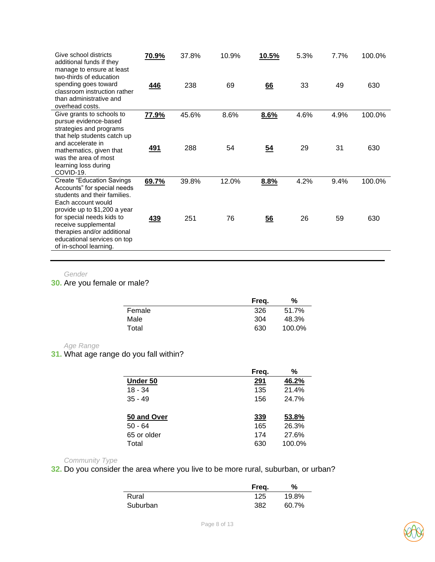| Give school districts<br>additional funds if they<br>manage to ensure at least<br>two-thirds of education                                             | 70.9%      | 37.8% | 10.9% | 10.5%          | 5.3% | 7.7% | 100.0% |
|-------------------------------------------------------------------------------------------------------------------------------------------------------|------------|-------|-------|----------------|------|------|--------|
| spending goes toward<br>classroom instruction rather<br>than administrative and<br>overhead costs.                                                    | 446        | 238   | 69    | 66             | 33   | 49   | 630    |
| Give grants to schools to<br>pursue evidence-based<br>strategies and programs<br>that help students catch up<br>and accelerate in                     | 77.9%      | 45.6% | 8.6%  | 8.6%           | 4.6% | 4.9% | 100.0% |
| mathematics, given that<br>was the area of most<br>learning loss during<br>COVID-19.                                                                  | <u>491</u> | 288   | 54    | $\frac{54}{5}$ | 29   | 31   | 630    |
| <b>Create "Education Savings</b><br>Accounts" for special needs<br>students and their families.<br>Each account would<br>provide up to \$1,200 a year | 69.7%      | 39.8% | 12.0% | 8.8%           | 4.2% | 9.4% | 100.0% |
| for special needs kids to<br>receive supplemental<br>therapies and/or additional<br>educational services on top<br>of in-school learning.             | 439        | 251   | 76    | 56             | 26   | 59   | 630    |

#### *Gender*

**30.** Are you female or male?

|        | Freg. | ℅      |
|--------|-------|--------|
| Female | 326   | 51.7%  |
| Male   | 304   | 48.3%  |
| Total  | 630   | 100.0% |

### *Age Range*

**31.** What age range do you fall within?

|             | Freq. | %      |
|-------------|-------|--------|
| Under 50    | 291   | 46.2%  |
| $18 - 34$   | 135   | 21.4%  |
| $35 - 49$   | 156   | 24.7%  |
|             |       |        |
| 50 and Over | 339   | 53.8%  |
| $50 - 64$   | 165   | 26.3%  |
| 65 or older | 174   | 27.6%  |
| Total       | 630   | 100.0% |

#### *Community Type*

**32.** Do you consider the area where you live to be more rural, suburban, or urban?

|          | Freg. | %     |
|----------|-------|-------|
| Rural    | 125   | 19.8% |
| Suburban | 382   | 60.7% |

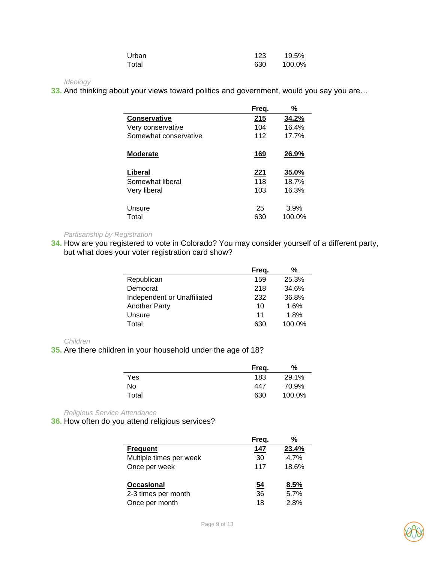| Urban | 123 | 19.5%  |
|-------|-----|--------|
| Total | 630 | 100.0% |

#### *Ideology*

**33.** And thinking about your views toward politics and government, would you say you are…

| Freq. | %     |
|-------|-------|
| 215   | 34.2% |
| 104   | 16.4% |
| 112   | 17.7% |
| 169   | 26.9% |
| 221   | 35.0% |
| 118   | 18.7% |
| 103   | 16.3% |
| 25    | 3.9%  |
|       |       |

#### *Partisanship by Registration*

**34.** How are you registered to vote in Colorado? You may consider yourself of a different party, but what does your voter registration card show?

|                             | Freq. | ℅      |
|-----------------------------|-------|--------|
| Republican                  | 159   | 25.3%  |
| Democrat                    | 218   | 34.6%  |
| Independent or Unaffiliated | 232   | 36.8%  |
| <b>Another Party</b>        | 10    | 1.6%   |
| Unsure                      | 11    | 1.8%   |
| Total                       | 630   | 100.0% |

#### *Children*

**35.** Are there children in your household under the age of 18?

|       | Freg. | ℅      |
|-------|-------|--------|
| Yes   | 183   | 29.1%  |
| No    | 447   | 70.9%  |
| Total | 630   | 100.0% |

*Religious Service Attendance*

**36.** How often do you attend religious services?

|                                                            | Freg.                 | %                    |
|------------------------------------------------------------|-----------------------|----------------------|
| <b>Frequent</b>                                            | 147                   | 23.4%                |
| Multiple times per week                                    | 30                    | 4.7%                 |
| Once per week                                              | 117                   | 18.6%                |
| <b>Occasional</b><br>2-3 times per month<br>Once per month | <u>54</u><br>36<br>18 | 8.5%<br>5.7%<br>2.8% |

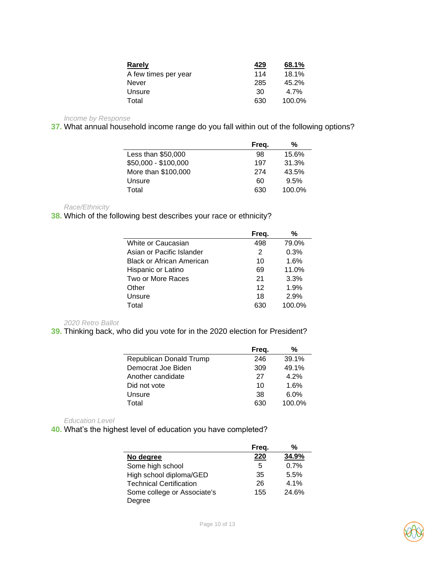| Rarely               | 429 | 68.1%    |
|----------------------|-----|----------|
| A few times per year | 114 | 18.1%    |
| Never                | 285 | $45.2\%$ |
| Unsure               | 30  | 4.7%     |
| Total                | 630 | 100.0%   |

*Income by Response* 

**37.** What annual household income range do you fall within out of the following options?

|                      | Freq. | %      |
|----------------------|-------|--------|
| Less than \$50,000   | 98    | 15.6%  |
| \$50,000 - \$100,000 | 197   | 31.3%  |
| More than \$100,000  | 274   | 43.5%  |
| Unsure               | 60    | 9.5%   |
| Total                | 630   | 100.0% |

*Race/Ethnicity*

**38.** Which of the following best describes your race or ethnicity?

|                                  | Freq.   | %      |
|----------------------------------|---------|--------|
| White or Caucasian               | 498     | 79.0%  |
| Asian or Pacific Islander        | 2       | 0.3%   |
| <b>Black or African American</b> | 10      | 1.6%   |
| Hispanic or Latino               | 69      | 11.0%  |
| Two or More Races                | 21      | 3.3%   |
| Other                            | $12 \,$ | 1.9%   |
| Unsure                           | 18      | 2.9%   |
| Total                            | 630     | 100.0% |

*2020 Retro Ballot*

**39.** Thinking back, who did you vote for in the 2020 election for President?

|                         | Freq. | %       |
|-------------------------|-------|---------|
| Republican Donald Trump | 246   | 39.1%   |
| Democrat Joe Biden      | 309   | 49.1%   |
| Another candidate       | 27    | 4.2%    |
| Did not vote            | 10    | 1.6%    |
| Unsure                  | 38    | $6.0\%$ |
| Total                   | 630   | 100.0%  |

*Education Level*

**40.** What's the highest level of education you have completed?

|                                | Freg. | %     |
|--------------------------------|-------|-------|
| No degree                      | 220   | 34.9% |
| Some high school               | 5     | 0.7%  |
| High school diploma/GED        | 35    | 5.5%  |
| <b>Technical Certification</b> | 26    | 4.1%  |
| Some college or Associate's    | 155   | 24.6% |
| Degree                         |       |       |

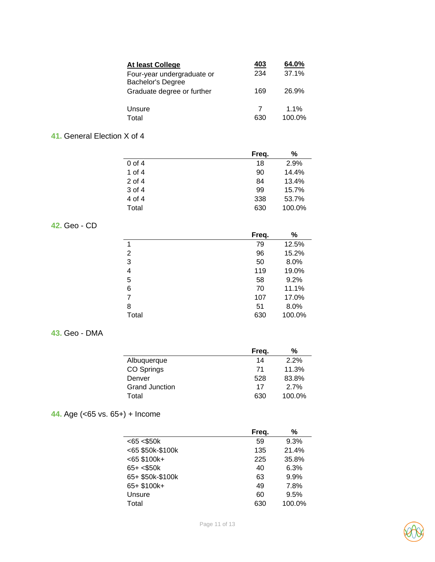| At least College                                | 403      | 64.0%             |
|-------------------------------------------------|----------|-------------------|
| Four-year undergraduate or<br>Bachelor's Degree | 234      | 37.1%             |
| Graduate degree or further                      | 169      | 26.9%             |
| Unsure<br>Total                                 | 7<br>630 | $1.1\%$<br>100.0% |

# **41.** General Election X of 4

|          | Freq. | %      |
|----------|-------|--------|
| 0 of 4   | 18    | 2.9%   |
| 1 of $4$ | 90    | 14.4%  |
| $2$ of 4 | 84    | 13.4%  |
| 3 of 4   | 99    | 15.7%  |
| 4 of 4   | 338   | 53.7%  |
| Total    | 630   | 100.0% |

# **42.** Geo - CD

|                          | Freq. | %      |
|--------------------------|-------|--------|
| 1                        | 79    | 12.5%  |
| $\overline{2}$           | 96    | 15.2%  |
| 3                        | 50    | 8.0%   |
| $\overline{\mathcal{A}}$ | 119   | 19.0%  |
| 5                        | 58    | 9.2%   |
| 6                        | 70    | 11.1%  |
| 7                        | 107   | 17.0%  |
| 8                        | 51    | 8.0%   |
| Total                    | 630   | 100.0% |

# **43.** Geo - DMA

|                       | Freg. | %      |
|-----------------------|-------|--------|
| Albuquerque           | 14    | 2.2%   |
| CO Springs            | 71    | 11.3%  |
| Denver                | 528   | 83.8%  |
| <b>Grand Junction</b> | 17    | 2.7%   |
| Total                 | 630   | 100.0% |

# **44.** Age (<65 vs. 65+) + Income

|                     | Freq. | %      |
|---------------------|-------|--------|
| $<$ 65 $<$ \$50 $k$ | 59    | 9.3%   |
| <65 \$50k-\$100k    | 135   | 21.4%  |
| $< 65$ \$100k+      | 225   | 35.8%  |
| $65 + < $50k$       | 40    | 6.3%   |
| 65+ \$50k-\$100k    | 63    | 9.9%   |
| 65+ \$100k+         | 49    | 7.8%   |
| Unsure              | 60    | 9.5%   |
| Total               | 630   | 100.0% |



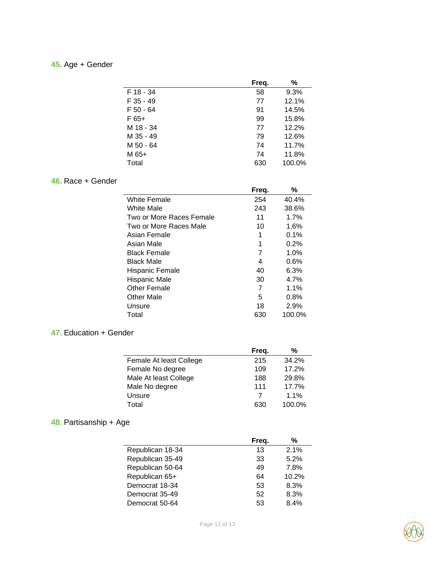# **45.** Age + Gender

|           | Freq. | %      |
|-----------|-------|--------|
| F 18 - 34 | 58    | 9.3%   |
| F 35 - 49 | 77    | 12.1%  |
| F 50 - 64 | 91    | 14.5%  |
| F 65+     | 99    | 15.8%  |
| M 18 - 34 | 77    | 12.2%  |
| M 35 - 49 | 79    | 12.6%  |
| M 50 - 64 | 74    | 11.7%  |
| M 65+     | 74    | 11.8%  |
| Total     | 630   | 100.0% |

# **46.** Race + Gender

|                          | Freq. | %       |
|--------------------------|-------|---------|
| White Female             | 254   | 40.4%   |
| White Male               | 243   | 38.6%   |
| Two or More Races Female | 11    | 1.7%    |
| Two or More Races Male   | 10    | 1.6%    |
| Asian Female             | 1     | 0.1%    |
| Asian Male               | 1     | 0.2%    |
| <b>Black Female</b>      | 7     | 1.0%    |
| Black Male               | 4     | 0.6%    |
| Hispanic Female          | 40    | 6.3%    |
| Hispanic Male            | 30    | 4.7%    |
| Other Female             | 7     | $1.1\%$ |
| Other Male               | 5     | 0.8%    |
| Unsure                   | 18    | 2.9%    |
| Total                    | 630   | 100.0%  |

### **47.** Education + Gender

|                         | Freq. | %      |  |
|-------------------------|-------|--------|--|
| Female At least College | 215   | 34.2%  |  |
| Female No degree        | 109   | 17.2%  |  |
| Male At least College   | 188   | 29.8%  |  |
| Male No degree          | 111   | 17.7%  |  |
| Unsure                  | 7     | 1.1%   |  |
| Total                   | 630   | 100.0% |  |
|                         |       |        |  |

# **48.** Partisanship + Age

|                  | Freq. | %     |
|------------------|-------|-------|
| Republican 18-34 | 13    | 2.1%  |
| Republican 35-49 | 33    | 5.2%  |
| Republican 50-64 | 49    | 7.8%  |
| Republican 65+   | 64    | 10.2% |
| Democrat 18-34   | 53    | 8.3%  |
| Democrat 35-49   | 52    | 8.3%  |
| Democrat 50-64   | 53    | 84%   |